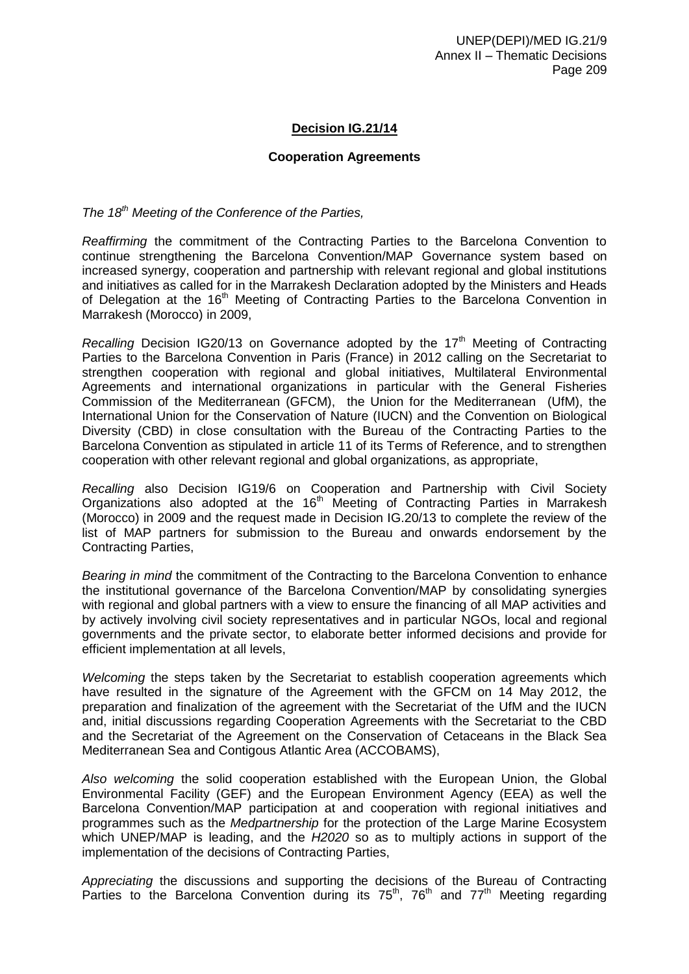## **Decision IG.21/14**

### **Cooperation Agreements**

*The 18th Meeting of the Conference of the Parties,*

*Reaffirming* the commitment of the Contracting Parties to the Barcelona Convention to continue strengthening the Barcelona Convention/MAP Governance system based on increased synergy, cooperation and partnership with relevant regional and global institutions and initiatives as called for in the Marrakesh Declaration adopted by the Ministers and Heads of Delegation at the 16<sup>th</sup> Meeting of Contracting Parties to the Barcelona Convention in Marrakesh (Morocco) in 2009,

*Recalling* Decision IG20/13 on Governance adopted by the 17<sup>th</sup> Meeting of Contracting Parties to the Barcelona Convention in Paris (France) in 2012 calling on the Secretariat to strengthen cooperation with regional and global initiatives, Multilateral Environmental Agreements and international organizations in particular with the General Fisheries Commission of the Mediterranean (GFCM), the Union for the Mediterranean (UfM), the International Union for the Conservation of Nature (IUCN) and the Convention on Biological Diversity (CBD) in close consultation with the Bureau of the Contracting Parties to the Barcelona Convention as stipulated in article 11 of its Terms of Reference, and to strengthen cooperation with other relevant regional and global organizations, as appropriate,

*Recalling* also Decision IG19/6 on Cooperation and Partnership with Civil Society Organizations also adopted at the  $16<sup>th</sup>$  Meeting of Contracting Parties in Marrakesh (Morocco) in 2009 and the request made in Decision IG.20/13 to complete the review of the list of MAP partners for submission to the Bureau and onwards endorsement by the Contracting Parties,

*Bearing in mind* the commitment of the Contracting to the Barcelona Convention to enhance the institutional governance of the Barcelona Convention/MAP by consolidating synergies with regional and global partners with a view to ensure the financing of all MAP activities and by actively involving civil society representatives and in particular NGOs, local and regional governments and the private sector, to elaborate better informed decisions and provide for efficient implementation at all levels,

*Welcoming* the steps taken by the Secretariat to establish cooperation agreements which have resulted in the signature of the Agreement with the GFCM on 14 May 2012, the preparation and finalization of the agreement with the Secretariat of the UfM and the IUCN and, initial discussions regarding Cooperation Agreements with the Secretariat to the CBD and the Secretariat of the Agreement on the Conservation of Cetaceans in the Black Sea Mediterranean Sea and Contigous Atlantic Area (ACCOBAMS),

*Also welcoming* the solid cooperation established with the European Union, the Global Environmental Facility (GEF) and the European Environment Agency (EEA) as well the Barcelona Convention/MAP participation at and cooperation with regional initiatives and programmes such as the *Medpartnership* for the protection of the Large Marine Ecosystem which UNEP/MAP is leading, and the *H2020* so as to multiply actions in support of the implementation of the decisions of Contracting Parties,

*Appreciating* the discussions and supporting the decisions of the Bureau of Contracting Parties to the Barcelona Convention during its  $75<sup>th</sup>$ ,  $76<sup>th</sup>$  and  $77<sup>th</sup>$  Meeting regarding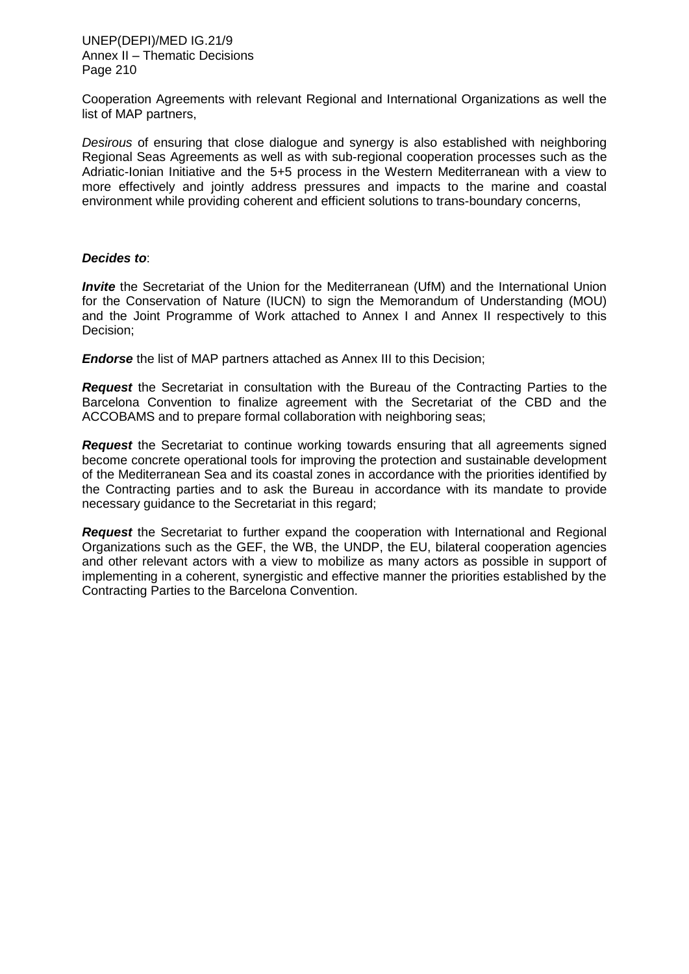UNEP(DEPI)/MED IG.21/9 Annex II – Thematic Decisions Page 210

Cooperation Agreements with relevant Regional and International Organizations as well the list of MAP partners,

*Desirous* of ensuring that close dialogue and synergy is also established with neighboring Regional Seas Agreements as well as with sub-regional cooperation processes such as the Adriatic-Ionian Initiative and the 5+5 process in the Western Mediterranean with a view to more effectively and jointly address pressures and impacts to the marine and coastal environment while providing coherent and efficient solutions to trans-boundary concerns,

#### *Decides to*:

*Invite* the Secretariat of the Union for the Mediterranean (UfM) and the International Union for the Conservation of Nature (IUCN) to sign the Memorandum of Understanding (MOU) and the Joint Programme of Work attached to Annex I and Annex II respectively to this Decision;

**Endorse** the list of MAP partners attached as Annex III to this Decision;

*Request* the Secretariat in consultation with the Bureau of the Contracting Parties to the Barcelona Convention to finalize agreement with the Secretariat of the CBD and the ACCOBAMS and to prepare formal collaboration with neighboring seas;

**Request** the Secretariat to continue working towards ensuring that all agreements signed become concrete operational tools for improving the protection and sustainable development of the Mediterranean Sea and its coastal zones in accordance with the priorities identified by the Contracting parties and to ask the Bureau in accordance with its mandate to provide necessary guidance to the Secretariat in this regard;

*Request* the Secretariat to further expand the cooperation with International and Regional Organizations such as the GEF, the WB, the UNDP, the EU, bilateral cooperation agencies and other relevant actors with a view to mobilize as many actors as possible in support of implementing in a coherent, synergistic and effective manner the priorities established by the Contracting Parties to the Barcelona Convention.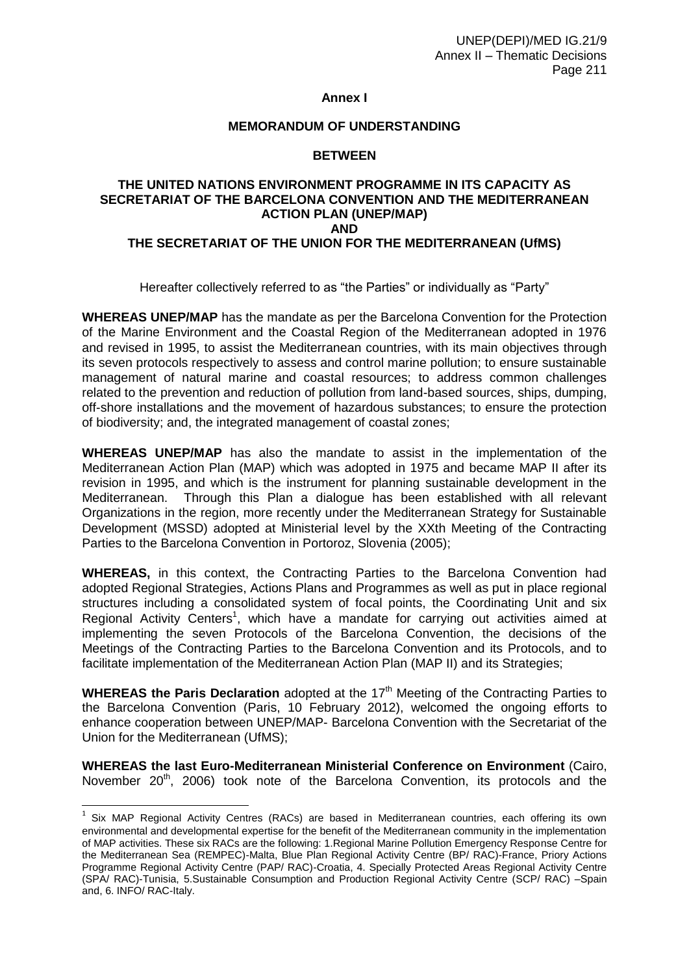#### **Annex I**

#### **MEMORANDUM OF UNDERSTANDING**

#### **BETWEEN**

### **THE UNITED NATIONS ENVIRONMENT PROGRAMME IN ITS CAPACITY AS SECRETARIAT OF THE BARCELONA CONVENTION AND THE MEDITERRANEAN ACTION PLAN (UNEP/MAP) AND THE SECRETARIAT OF THE UNION FOR THE MEDITERRANEAN (UfMS)**

Hereafter collectively referred to as "the Parties" or individually as "Party"

**WHEREAS UNEP/MAP** has the mandate as per the Barcelona Convention for the Protection of the Marine Environment and the Coastal Region of the Mediterranean adopted in 1976 and revised in 1995, to assist the Mediterranean countries, with its main objectives through its seven protocols respectively to assess and control marine pollution; to ensure sustainable management of natural marine and coastal resources; to address common challenges related to the prevention and reduction of pollution from land-based sources, ships, dumping, off-shore installations and the movement of hazardous substances; to ensure the protection of biodiversity; and, the integrated management of coastal zones;

**WHEREAS UNEP/MAP** has also the mandate to assist in the implementation of the Mediterranean Action Plan (MAP) which was adopted in 1975 and became MAP II after its revision in 1995, and which is the instrument for planning sustainable development in the Mediterranean. Through this Plan a dialogue has been established with all relevant Organizations in the region, more recently under the Mediterranean Strategy for Sustainable Development (MSSD) adopted at Ministerial level by the XXth Meeting of the Contracting Parties to the Barcelona Convention in Portoroz, Slovenia (2005);

**WHEREAS,** in this context, the Contracting Parties to the Barcelona Convention had adopted Regional Strategies, Actions Plans and Programmes as well as put in place regional structures including a consolidated system of focal points, the Coordinating Unit and six Regional Activity Centers<sup>1</sup>, which have a mandate for carrying out activities aimed at implementing the seven Protocols of the Barcelona Convention, the decisions of the Meetings of the Contracting Parties to the Barcelona Convention and its Protocols, and to facilitate implementation of the Mediterranean Action Plan (MAP II) and its Strategies;

**WHEREAS the Paris Declaration** adopted at the 17<sup>th</sup> Meeting of the Contracting Parties to the Barcelona Convention (Paris, 10 February 2012), welcomed the ongoing efforts to enhance cooperation between UNEP/MAP- Barcelona Convention with the Secretariat of the Union for the Mediterranean (UfMS);

**WHEREAS the last Euro-Mediterranean Ministerial Conference on Environment** (Cairo, November 20<sup>th</sup>, 2006) took note of the Barcelona Convention, its protocols and the

 $\overline{a}$ 

 $1$  Six MAP Regional Activity Centres (RACs) are based in Mediterranean countries, each offering its own environmental and developmental expertise for the benefit of the Mediterranean community in the implementation of MAP activities. These six RACs are the following: 1.Regional Marine Pollution Emergency Response Centre for the Mediterranean Sea (REMPEC)-Malta, Blue Plan Regional Activity Centre (BP/ RAC)-France, Priory Actions Programme Regional Activity Centre (PAP/ RAC)-Croatia, 4. Specially Protected Areas Regional Activity Centre (SPA/ RAC)-Tunisia, 5.Sustainable Consumption and Production Regional Activity Centre (SCP/ RAC) –Spain and, 6. INFO/ RAC-Italy.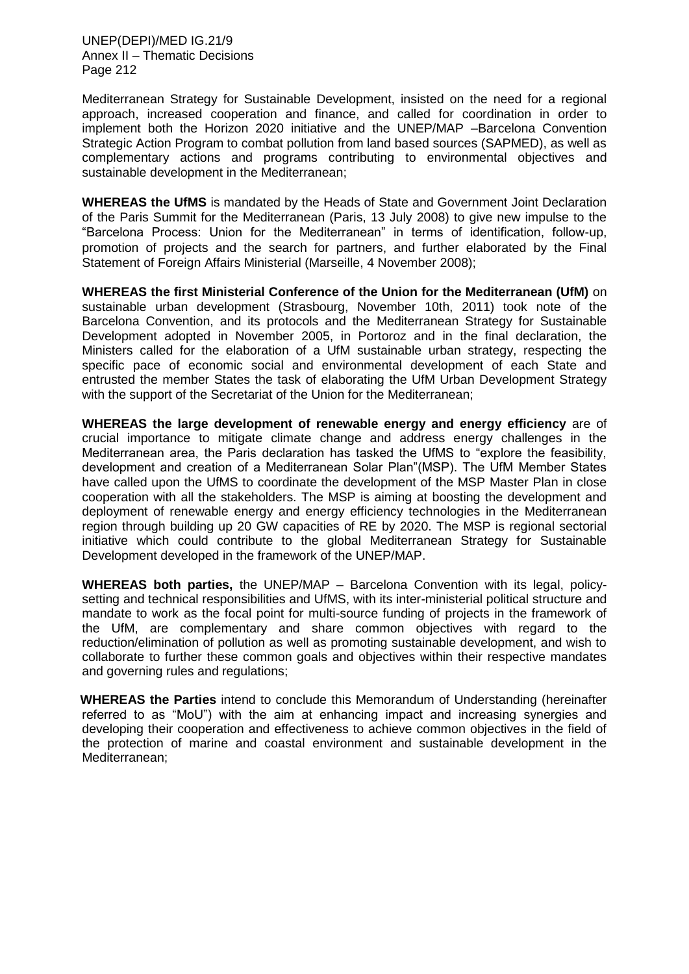UNEP(DEPI)/MED IG.21/9 Annex II – Thematic Decisions Page 212

Mediterranean Strategy for Sustainable Development, insisted on the need for a regional approach, increased cooperation and finance, and called for coordination in order to implement both the Horizon 2020 initiative and the UNEP/MAP –Barcelona Convention Strategic Action Program to combat pollution from land based sources (SAPMED), as well as complementary actions and programs contributing to environmental objectives and sustainable development in the Mediterranean;

**WHEREAS the UfMS** is mandated by the Heads of State and Government Joint Declaration of the Paris Summit for the Mediterranean (Paris, 13 July 2008) to give new impulse to the "Barcelona Process: Union for the Mediterranean" in terms of identification, follow-up, promotion of projects and the search for partners, and further elaborated by the Final Statement of Foreign Affairs Ministerial (Marseille, 4 November 2008);

**WHEREAS the first Ministerial Conference of the Union for the Mediterranean (UfM)** on sustainable urban development (Strasbourg, November 10th, 2011) took note of the Barcelona Convention, and its protocols and the Mediterranean Strategy for Sustainable Development adopted in November 2005, in Portoroz and in the final declaration, the Ministers called for the elaboration of a UfM sustainable urban strategy, respecting the specific pace of economic social and environmental development of each State and entrusted the member States the task of elaborating the UfM Urban Development Strategy with the support of the Secretariat of the Union for the Mediterranean;

**WHEREAS the large development of renewable energy and energy efficiency** are of crucial importance to mitigate climate change and address energy challenges in the Mediterranean area, the Paris declaration has tasked the UfMS to "explore the feasibility, development and creation of a Mediterranean Solar Plan"(MSP). The UfM Member States have called upon the UfMS to coordinate the development of the MSP Master Plan in close cooperation with all the stakeholders. The MSP is aiming at boosting the development and deployment of renewable energy and energy efficiency technologies in the Mediterranean region through building up 20 GW capacities of RE by 2020. The MSP is regional sectorial initiative which could contribute to the global Mediterranean Strategy for Sustainable Development developed in the framework of the UNEP/MAP.

**WHEREAS both parties,** the UNEP/MAP – Barcelona Convention with its legal, policysetting and technical responsibilities and UfMS, with its inter-ministerial political structure and mandate to work as the focal point for multi-source funding of projects in the framework of the UfM, are complementary and share common objectives with regard to the reduction/elimination of pollution as well as promoting sustainable development, and wish to collaborate to further these common goals and objectives within their respective mandates and governing rules and regulations;

**WHEREAS the Parties** intend to conclude this Memorandum of Understanding (hereinafter referred to as "MoU") with the aim at enhancing impact and increasing synergies and developing their cooperation and effectiveness to achieve common objectives in the field of the protection of marine and coastal environment and sustainable development in the Mediterranean;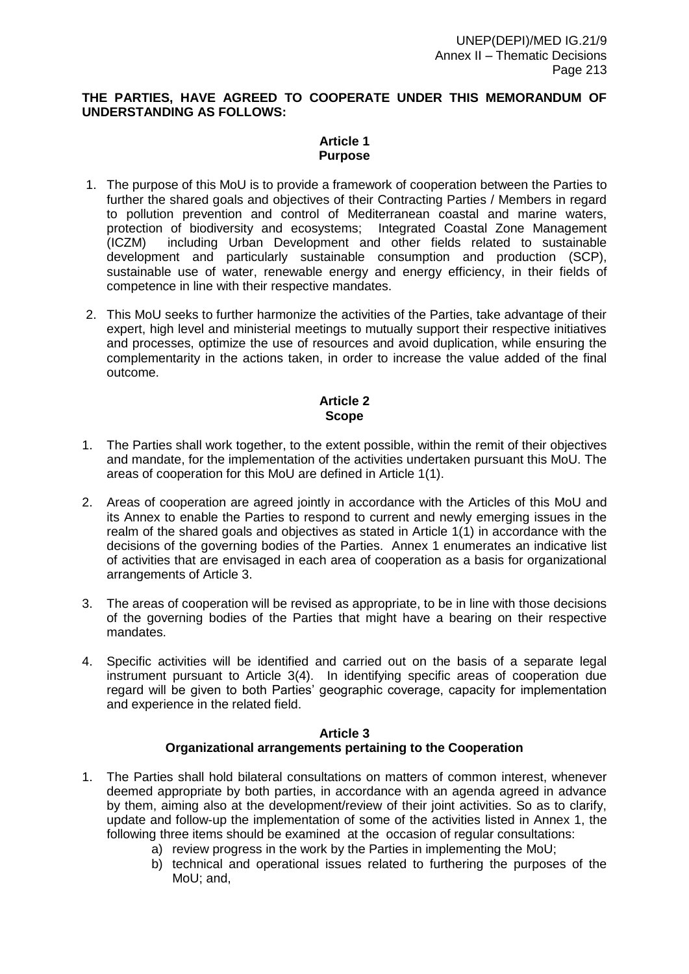#### **THE PARTIES, HAVE AGREED TO COOPERATE UNDER THIS MEMORANDUM OF UNDERSTANDING AS FOLLOWS:**

### **Article 1 Purpose**

- 1. The purpose of this MoU is to provide a framework of cooperation between the Parties to further the shared goals and objectives of their Contracting Parties / Members in regard to pollution prevention and control of Mediterranean coastal and marine waters, protection of biodiversity and ecosystems; Integrated Coastal Zone Management (ICZM) including Urban Development and other fields related to sustainable development and particularly sustainable consumption and production (SCP), sustainable use of water, renewable energy and energy efficiency, in their fields of competence in line with their respective mandates.
- 2. This MoU seeks to further harmonize the activities of the Parties, take advantage of their expert, high level and ministerial meetings to mutually support their respective initiatives and processes, optimize the use of resources and avoid duplication, while ensuring the complementarity in the actions taken, in order to increase the value added of the final outcome.

### **Article 2 Scope**

- 1. The Parties shall work together, to the extent possible, within the remit of their objectives and mandate, for the implementation of the activities undertaken pursuant this MoU. The areas of cooperation for this MoU are defined in Article 1(1).
- 2. Areas of cooperation are agreed jointly in accordance with the Articles of this MoU and its Annex to enable the Parties to respond to current and newly emerging issues in the realm of the shared goals and objectives as stated in Article 1(1) in accordance with the decisions of the governing bodies of the Parties. Annex 1 enumerates an indicative list of activities that are envisaged in each area of cooperation as a basis for organizational arrangements of Article 3.
- 3. The areas of cooperation will be revised as appropriate, to be in line with those decisions of the governing bodies of the Parties that might have a bearing on their respective mandates.
- 4. Specific activities will be identified and carried out on the basis of a separate legal instrument pursuant to Article 3(4). In identifying specific areas of cooperation due regard will be given to both Parties' geographic coverage, capacity for implementation and experience in the related field.

#### **Article 3 Organizational arrangements pertaining to the Cooperation**

- 1. The Parties shall hold bilateral consultations on matters of common interest, whenever deemed appropriate by both parties, in accordance with an agenda agreed in advance by them, aiming also at the development/review of their joint activities. So as to clarify, update and follow-up the implementation of some of the activities listed in Annex 1, the following three items should be examined at the occasion of regular consultations:
	- a) review progress in the work by the Parties in implementing the MoU;
	- b) technical and operational issues related to furthering the purposes of the MoU; and,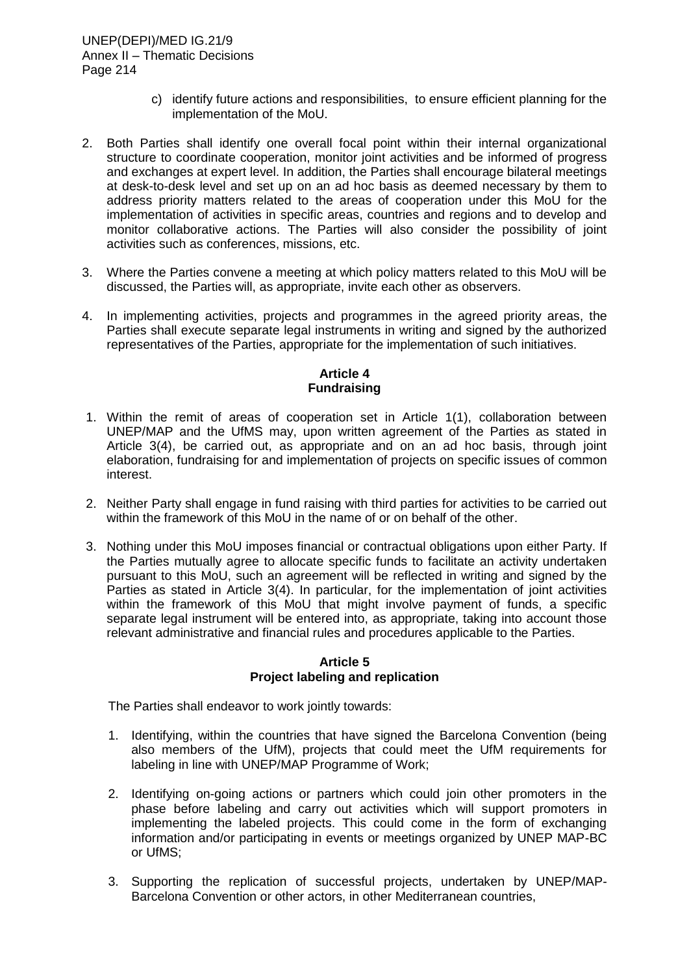### UNEP(DEPI)/MED IG.21/9 Annex II – Thematic Decisions Page 214

- c) identify future actions and responsibilities, to ensure efficient planning for the implementation of the MoU.
- 2. Both Parties shall identify one overall focal point within their internal organizational structure to coordinate cooperation, monitor joint activities and be informed of progress and exchanges at expert level. In addition, the Parties shall encourage bilateral meetings at desk-to-desk level and set up on an ad hoc basis as deemed necessary by them to address priority matters related to the areas of cooperation under this MoU for the implementation of activities in specific areas, countries and regions and to develop and monitor collaborative actions. The Parties will also consider the possibility of joint activities such as conferences, missions, etc.
- 3. Where the Parties convene a meeting at which policy matters related to this MoU will be discussed, the Parties will, as appropriate, invite each other as observers.
- 4. In implementing activities, projects and programmes in the agreed priority areas, the Parties shall execute separate legal instruments in writing and signed by the authorized representatives of the Parties, appropriate for the implementation of such initiatives.

## **Article 4 Fundraising**

- 1. Within the remit of areas of cooperation set in Article 1(1), collaboration between UNEP/MAP and the UfMS may, upon written agreement of the Parties as stated in Article 3(4), be carried out, as appropriate and on an ad hoc basis, through joint elaboration, fundraising for and implementation of projects on specific issues of common interest.
- 2. Neither Party shall engage in fund raising with third parties for activities to be carried out within the framework of this MoU in the name of or on behalf of the other.
- 3. Nothing under this MoU imposes financial or contractual obligations upon either Party. If the Parties mutually agree to allocate specific funds to facilitate an activity undertaken pursuant to this MoU, such an agreement will be reflected in writing and signed by the Parties as stated in Article 3(4). In particular, for the implementation of joint activities within the framework of this MoU that might involve payment of funds, a specific separate legal instrument will be entered into, as appropriate, taking into account those relevant administrative and financial rules and procedures applicable to the Parties.

#### **Article 5 Project labeling and replication**

The Parties shall endeavor to work jointly towards:

- 1. Identifying, within the countries that have signed the Barcelona Convention (being also members of the UfM), projects that could meet the UfM requirements for labeling in line with UNEP/MAP Programme of Work;
- 2. Identifying on-going actions or partners which could join other promoters in the phase before labeling and carry out activities which will support promoters in implementing the labeled projects. This could come in the form of exchanging information and/or participating in events or meetings organized by UNEP MAP-BC or UfMS;
- 3. Supporting the replication of successful projects, undertaken by UNEP/MAP-Barcelona Convention or other actors, in other Mediterranean countries,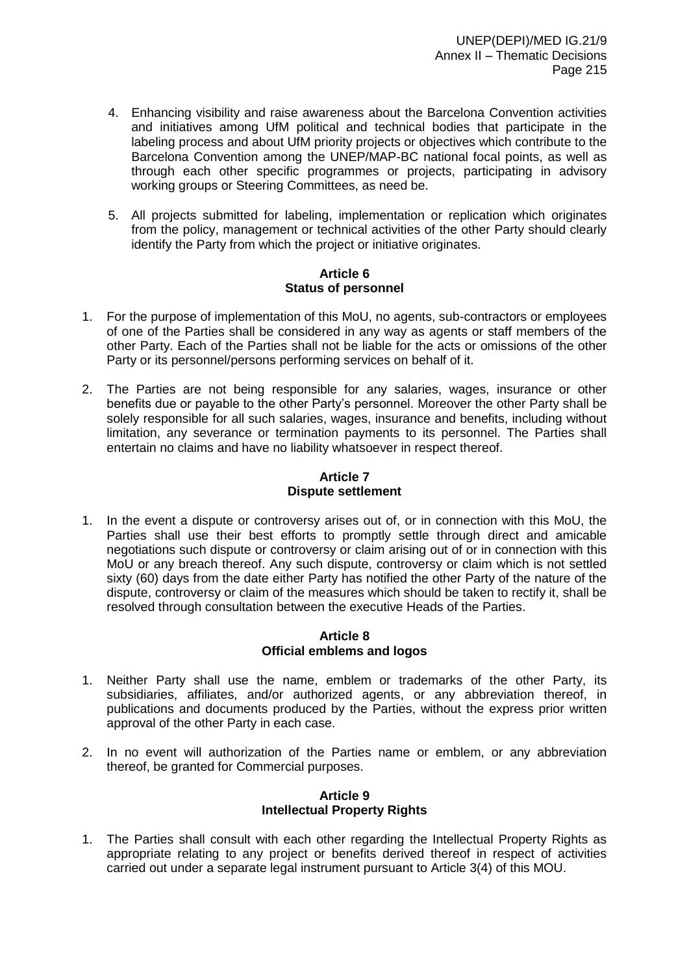- 4. Enhancing visibility and raise awareness about the Barcelona Convention activities and initiatives among UfM political and technical bodies that participate in the labeling process and about UfM priority projects or objectives which contribute to the Barcelona Convention among the UNEP/MAP-BC national focal points, as well as through each other specific programmes or projects, participating in advisory working groups or Steering Committees, as need be.
- 5. All projects submitted for labeling, implementation or replication which originates from the policy, management or technical activities of the other Party should clearly identify the Party from which the project or initiative originates.

#### **Article 6 Status of personnel**

- 1. For the purpose of implementation of this MoU, no agents, sub-contractors or employees of one of the Parties shall be considered in any way as agents or staff members of the other Party. Each of the Parties shall not be liable for the acts or omissions of the other Party or its personnel/persons performing services on behalf of it.
- 2. The Parties are not being responsible for any salaries, wages, insurance or other benefits due or payable to the other Party's personnel. Moreover the other Party shall be solely responsible for all such salaries, wages, insurance and benefits, including without limitation, any severance or termination payments to its personnel. The Parties shall entertain no claims and have no liability whatsoever in respect thereof.

# **Article 7 Dispute settlement**

1. In the event a dispute or controversy arises out of, or in connection with this MoU, the Parties shall use their best efforts to promptly settle through direct and amicable negotiations such dispute or controversy or claim arising out of or in connection with this MoU or any breach thereof. Any such dispute, controversy or claim which is not settled sixty (60) days from the date either Party has notified the other Party of the nature of the dispute, controversy or claim of the measures which should be taken to rectify it, shall be resolved through consultation between the executive Heads of the Parties.

### **Article 8 Official emblems and logos**

- 1. Neither Party shall use the name, emblem or trademarks of the other Party, its subsidiaries, affiliates, and/or authorized agents, or any abbreviation thereof, in publications and documents produced by the Parties, without the express prior written approval of the other Party in each case.
- 2. In no event will authorization of the Parties name or emblem, or any abbreviation thereof, be granted for Commercial purposes.

### **Article 9 Intellectual Property Rights**

1. The Parties shall consult with each other regarding the Intellectual Property Rights as appropriate relating to any project or benefits derived thereof in respect of activities carried out under a separate legal instrument pursuant to Article 3(4) of this MOU.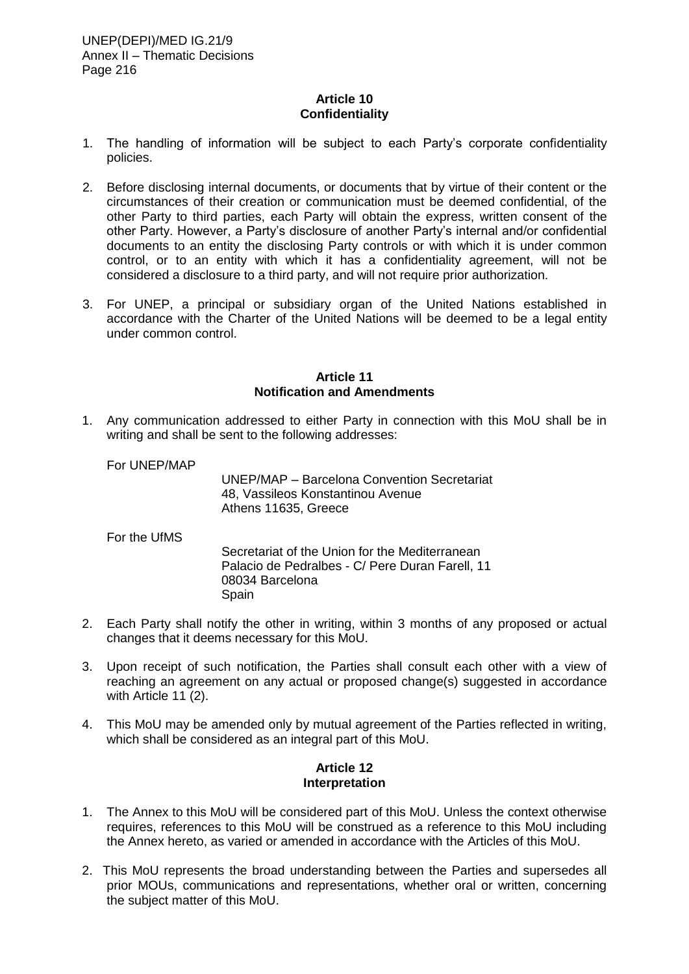### **Article 10 Confidentiality**

- 1. The handling of information will be subject to each Party's corporate confidentiality policies.
- 2. Before disclosing internal documents, or documents that by virtue of their content or the circumstances of their creation or communication must be deemed confidential, of the other Party to third parties, each Party will obtain the express, written consent of the other Party. However, a Party's disclosure of another Party's internal and/or confidential documents to an entity the disclosing Party controls or with which it is under common control, or to an entity with which it has a confidentiality agreement, will not be considered a disclosure to a third party, and will not require prior authorization.
- 3. For UNEP, a principal or subsidiary organ of the United Nations established in accordance with the Charter of the United Nations will be deemed to be a legal entity under common control.

#### **Article 11 Notification and Amendments**

1. Any communication addressed to either Party in connection with this MoU shall be in writing and shall be sent to the following addresses:

For UNEP/MAP

UNEP/MAP – Barcelona Convention Secretariat 48, Vassileos Konstantinou Avenue Athens 11635, Greece

For the UfMS

Secretariat of the Union for the Mediterranean Palacio de Pedralbes - C/ Pere Duran Farell, 11 08034 Barcelona Spain

- 2. Each Party shall notify the other in writing, within 3 months of any proposed or actual changes that it deems necessary for this MoU.
- 3. Upon receipt of such notification, the Parties shall consult each other with a view of reaching an agreement on any actual or proposed change(s) suggested in accordance with Article 11 (2).
- 4. This MoU may be amended only by mutual agreement of the Parties reflected in writing, which shall be considered as an integral part of this MoU.

#### **Article 12 Interpretation**

- 1. The Annex to this MoU will be considered part of this MoU. Unless the context otherwise requires, references to this MoU will be construed as a reference to this MoU including the Annex hereto, as varied or amended in accordance with the Articles of this MoU.
- 2. This MoU represents the broad understanding between the Parties and supersedes all prior MOUs, communications and representations, whether oral or written, concerning the subject matter of this MoU.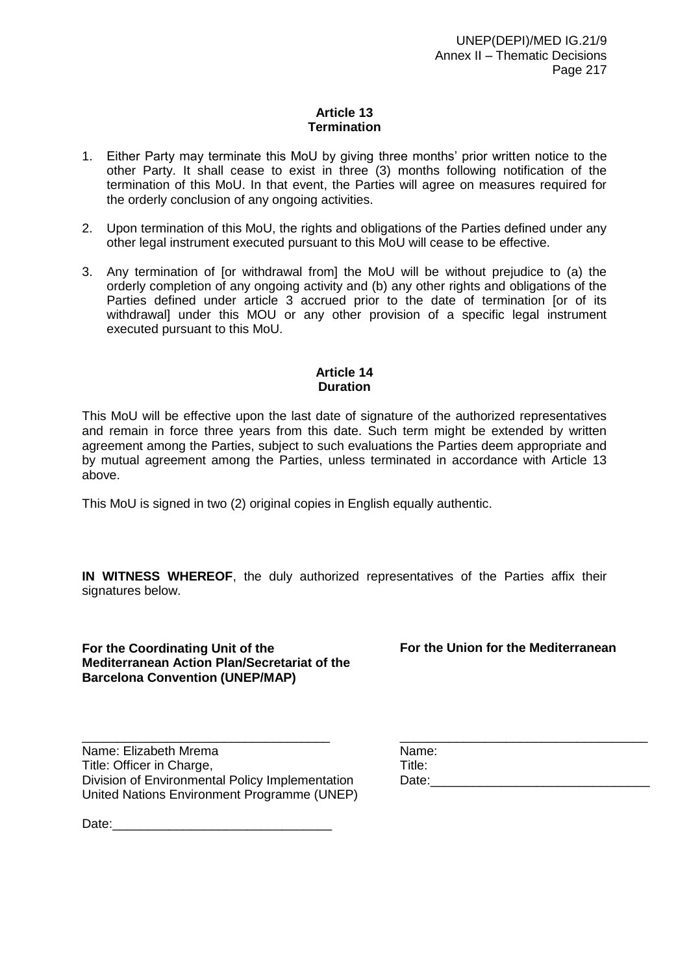### **Article 13 Termination**

- 1. Either Party may terminate this MoU by giving three months' prior written notice to the other Party. It shall cease to exist in three (3) months following notification of the termination of this MoU. In that event, the Parties will agree on measures required for the orderly conclusion of any ongoing activities.
- 2. Upon termination of this MoU, the rights and obligations of the Parties defined under any other legal instrument executed pursuant to this MoU will cease to be effective.
- 3. Any termination of [or withdrawal from] the MoU will be without prejudice to (a) the orderly completion of any ongoing activity and (b) any other rights and obligations of the Parties defined under article 3 accrued prior to the date of termination [or of its withdrawal] under this MOU or any other provision of a specific legal instrument executed pursuant to this MoU.

### **Article 14 Duration**

This MoU will be effective upon the last date of signature of the authorized representatives and remain in force three years from this date. Such term might be extended by written agreement among the Parties, subject to such evaluations the Parties deem appropriate and by mutual agreement among the Parties, unless terminated in accordance with Article 13 above.

This MoU is signed in two (2) original copies in English equally authentic.

**IN WITNESS WHEREOF**, the duly authorized representatives of the Parties affix their signatures below.

**For the Coordinating Unit of the Mediterranean Action Plan/Secretariat of the Barcelona Convention (UNEP/MAP)**

**For the Union for the Mediterranean** 

Name: Elizabeth Mrema Title: Officer in Charge, Division of Environmental Policy Implementation United Nations Environment Programme (UNEP)

\_\_\_\_\_\_\_\_\_\_\_\_\_\_\_\_\_\_\_\_\_\_\_\_\_\_\_\_\_\_\_\_\_\_\_ \_\_\_\_\_\_\_\_\_\_\_\_\_\_\_\_\_\_\_\_\_\_\_\_\_\_\_\_\_\_\_\_\_\_\_ Name: Title: Date:\_\_\_\_\_\_\_\_\_\_\_\_\_\_\_\_\_\_\_\_\_\_\_\_\_\_\_\_\_\_\_

Date: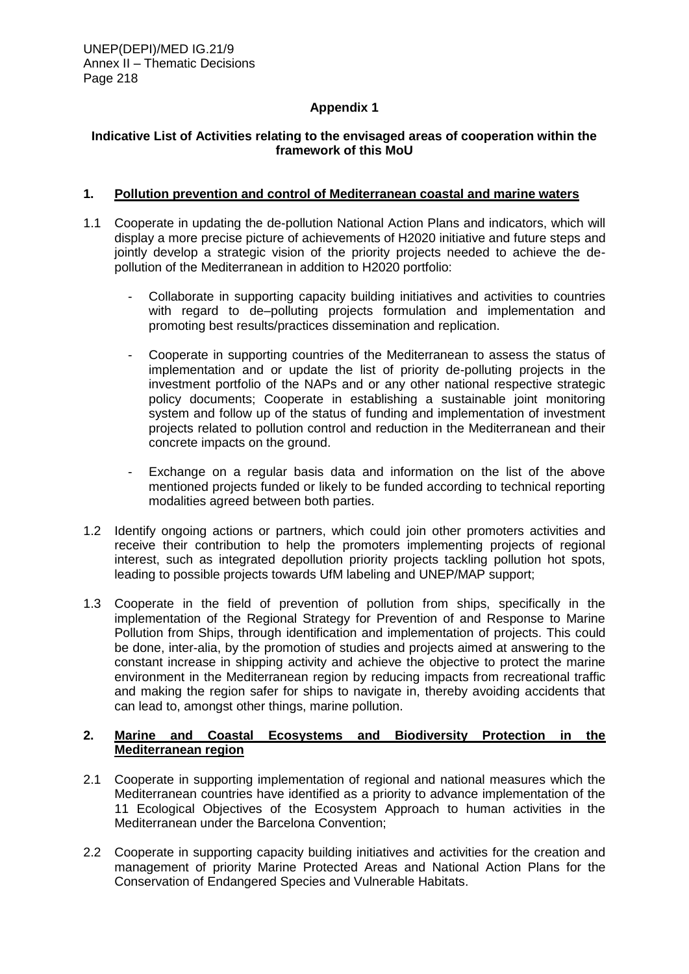## **Appendix 1**

### **Indicative List of Activities relating to the envisaged areas of cooperation within the framework of this MoU**

### **1. Pollution prevention and control of Mediterranean coastal and marine waters**

- 1.1 Cooperate in updating the de-pollution National Action Plans and indicators, which will display a more precise picture of achievements of H2020 initiative and future steps and jointly develop a strategic vision of the priority projects needed to achieve the depollution of the Mediterranean in addition to H2020 portfolio:
	- Collaborate in supporting capacity building initiatives and activities to countries with regard to de–polluting projects formulation and implementation and promoting best results/practices dissemination and replication.
	- Cooperate in supporting countries of the Mediterranean to assess the status of implementation and or update the list of priority de-polluting projects in the investment portfolio of the NAPs and or any other national respective strategic policy documents; Cooperate in establishing a sustainable joint monitoring system and follow up of the status of funding and implementation of investment projects related to pollution control and reduction in the Mediterranean and their concrete impacts on the ground.
	- Exchange on a regular basis data and information on the list of the above mentioned projects funded or likely to be funded according to technical reporting modalities agreed between both parties.
- 1.2 Identify ongoing actions or partners, which could join other promoters activities and receive their contribution to help the promoters implementing projects of regional interest, such as integrated depollution priority projects tackling pollution hot spots, leading to possible projects towards UfM labeling and UNEP/MAP support;
- 1.3 Cooperate in the field of prevention of pollution from ships, specifically in the implementation of the Regional Strategy for Prevention of and Response to Marine Pollution from Ships, through identification and implementation of projects. This could be done, inter-alia, by the promotion of studies and projects aimed at answering to the constant increase in shipping activity and achieve the objective to protect the marine environment in the Mediterranean region by reducing impacts from recreational traffic and making the region safer for ships to navigate in, thereby avoiding accidents that can lead to, amongst other things, marine pollution.

## **2. Marine and Coastal Ecosystems and Biodiversity Protection in the Mediterranean region**

- 2.1 Cooperate in supporting implementation of regional and national measures which the Mediterranean countries have identified as a priority to advance implementation of the 11 Ecological Objectives of the Ecosystem Approach to human activities in the Mediterranean under the Barcelona Convention;
- 2.2 Cooperate in supporting capacity building initiatives and activities for the creation and management of priority Marine Protected Areas and National Action Plans for the Conservation of Endangered Species and Vulnerable Habitats.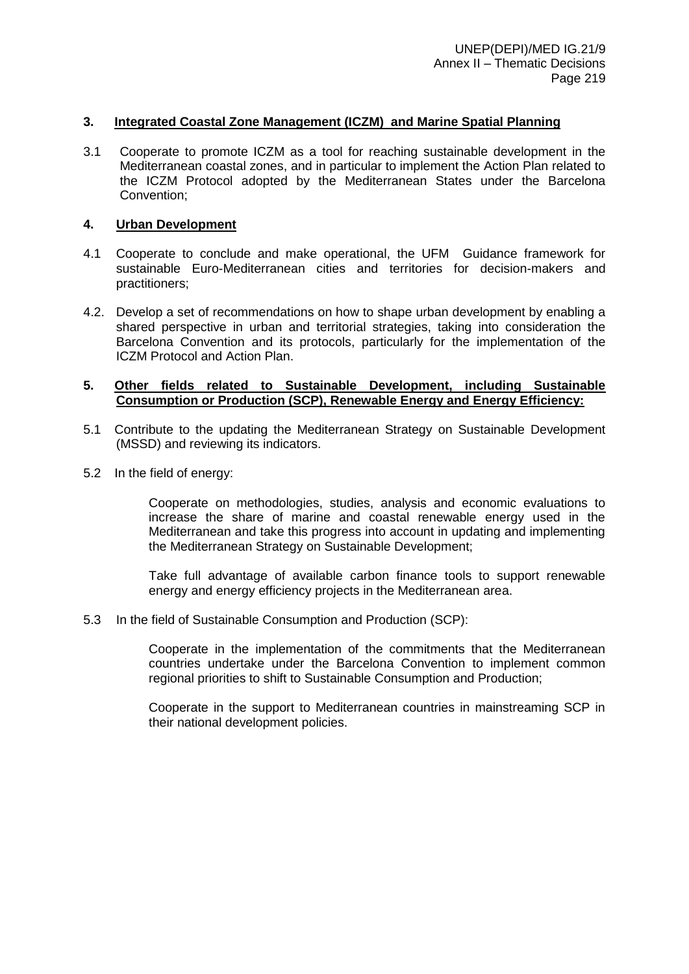### **3. Integrated Coastal Zone Management (ICZM) and Marine Spatial Planning**

3.1 Cooperate to promote ICZM as a tool for reaching sustainable development in the Mediterranean coastal zones, and in particular to implement the Action Plan related to the ICZM Protocol adopted by the Mediterranean States under the Barcelona Convention;

#### **4. Urban Development**

- 4.1 Cooperate to conclude and make operational, the UFM Guidance framework for sustainable Euro-Mediterranean cities and territories for decision-makers and practitioners;
- 4.2. Develop a set of recommendations on how to shape urban development by enabling a shared perspective in urban and territorial strategies, taking into consideration the Barcelona Convention and its protocols, particularly for the implementation of the ICZM Protocol and Action Plan.

#### **5. Other fields related to Sustainable Development, including Sustainable Consumption or Production (SCP), Renewable Energy and Energy Efficiency:**

- 5.1 Contribute to the updating the Mediterranean Strategy on Sustainable Development (MSSD) and reviewing its indicators.
- 5.2 In the field of energy:

Cooperate on methodologies, studies, analysis and economic evaluations to increase the share of marine and coastal renewable energy used in the Mediterranean and take this progress into account in updating and implementing the Mediterranean Strategy on Sustainable Development;

Take full advantage of available carbon finance tools to support renewable energy and energy efficiency projects in the Mediterranean area.

5.3 In the field of Sustainable Consumption and Production (SCP):

Cooperate in the implementation of the commitments that the Mediterranean countries undertake under the Barcelona Convention to implement common regional priorities to shift to Sustainable Consumption and Production;

Cooperate in the support to Mediterranean countries in mainstreaming SCP in their national development policies.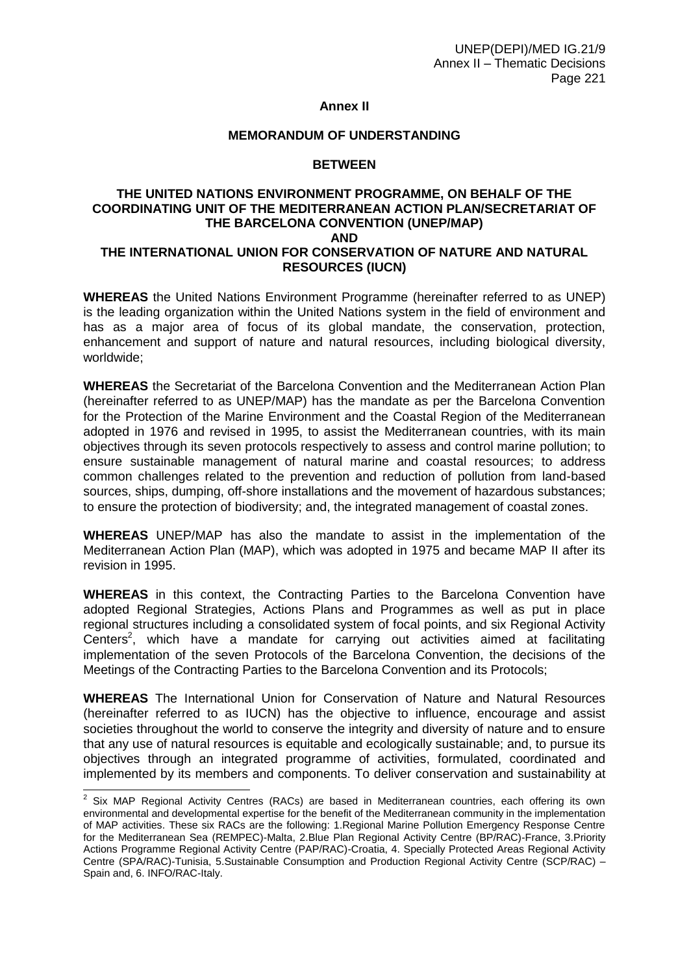### **Annex II**

#### **MEMORANDUM OF UNDERSTANDING**

#### **BETWEEN**

#### **THE UNITED NATIONS ENVIRONMENT PROGRAMME, ON BEHALF OF THE COORDINATING UNIT OF THE MEDITERRANEAN ACTION PLAN/SECRETARIAT OF THE BARCELONA CONVENTION (UNEP/MAP) AND THE INTERNATIONAL UNION FOR CONSERVATION OF NATURE AND NATURAL RESOURCES (IUCN)**

**WHEREAS** the United Nations Environment Programme (hereinafter referred to as UNEP) is the leading organization within the United Nations system in the field of environment and has as a major area of focus of its global mandate, the conservation, protection, enhancement and support of nature and natural resources, including biological diversity, worldwide;

**WHEREAS** the Secretariat of the Barcelona Convention and the Mediterranean Action Plan (hereinafter referred to as UNEP/MAP) has the mandate as per the Barcelona Convention for the Protection of the Marine Environment and the Coastal Region of the Mediterranean adopted in 1976 and revised in 1995, to assist the Mediterranean countries, with its main objectives through its seven protocols respectively to assess and control marine pollution; to ensure sustainable management of natural marine and coastal resources; to address common challenges related to the prevention and reduction of pollution from land-based sources, ships, dumping, off-shore installations and the movement of hazardous substances; to ensure the protection of biodiversity; and, the integrated management of coastal zones.

**WHEREAS** UNEP/MAP has also the mandate to assist in the implementation of the Mediterranean Action Plan (MAP), which was adopted in 1975 and became MAP II after its revision in 1995.

**WHEREAS** in this context, the Contracting Parties to the Barcelona Convention have adopted Regional Strategies, Actions Plans and Programmes as well as put in place regional structures including a consolidated system of focal points, and six Regional Activity Centers<sup>2</sup>, which have a mandate for carrying out activities aimed at facilitating implementation of the seven Protocols of the Barcelona Convention, the decisions of the Meetings of the Contracting Parties to the Barcelona Convention and its Protocols;

**WHEREAS** The International Union for Conservation of Nature and Natural Resources (hereinafter referred to as IUCN) has the objective to influence, encourage and assist societies throughout the world to conserve the integrity and diversity of nature and to ensure that any use of natural resources is equitable and ecologically sustainable; and, to pursue its objectives through an integrated programme of activities, formulated, coordinated and implemented by its members and components. To deliver conservation and sustainability at

 2 Six MAP Regional Activity Centres (RACs) are based in Mediterranean countries, each offering its own environmental and developmental expertise for the benefit of the Mediterranean community in the implementation of MAP activities. These six RACs are the following: 1.Regional Marine Pollution Emergency Response Centre for the Mediterranean Sea (REMPEC)-Malta, 2.Blue Plan Regional Activity Centre (BP/RAC)-France, 3.Priority Actions Programme Regional Activity Centre (PAP/RAC)-Croatia, 4. Specially Protected Areas Regional Activity Centre (SPA/RAC)-Tunisia, 5.Sustainable Consumption and Production Regional Activity Centre (SCP/RAC) – Spain and, 6. INFO/RAC-Italy.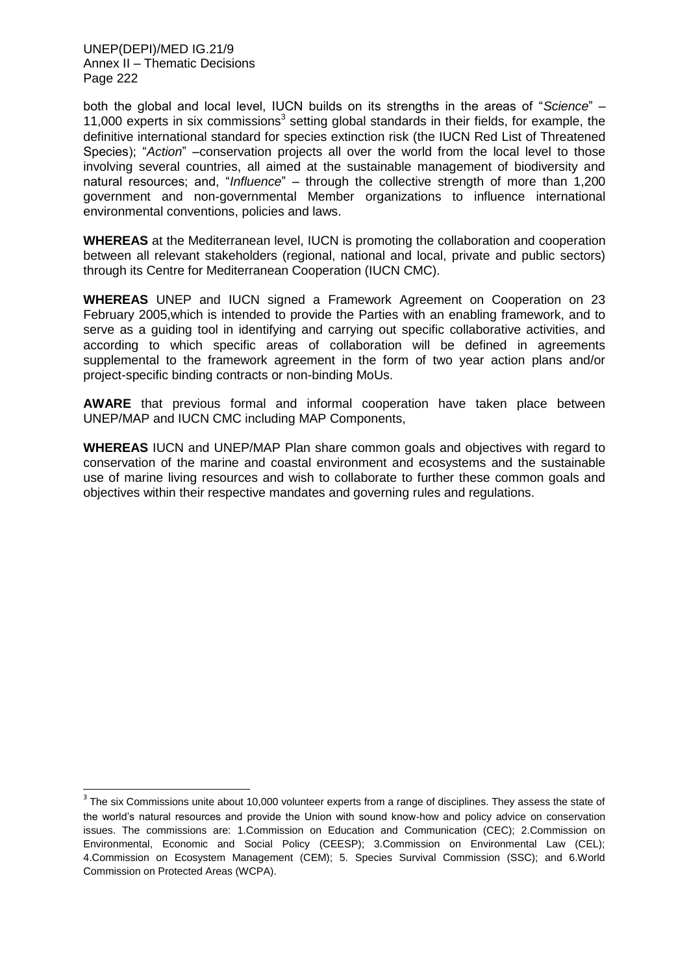-

both the global and local level, IUCN builds on its strengths in the areas of "*Science*" – 11,000 experts in six commissions<sup>3</sup> setting global standards in their fields, for example, the definitive international standard for species extinction risk (the IUCN Red List of Threatened Species); "Action" –conservation projects all over the world from the local level to those involving several countries, all aimed at the sustainable management of biodiversity and natural resources; and, "*Influence*" – through the collective strength of more than 1,200 government and non-governmental Member organizations to influence international environmental conventions, policies and laws.

**WHEREAS** at the Mediterranean level, IUCN is promoting the collaboration and cooperation between all relevant stakeholders (regional, national and local, private and public sectors) through its Centre for Mediterranean Cooperation (IUCN CMC).

**WHEREAS** UNEP and IUCN signed a Framework Agreement on Cooperation on 23 February 2005,which is intended to provide the Parties with an enabling framework, and to serve as a guiding tool in identifying and carrying out specific collaborative activities, and according to which specific areas of collaboration will be defined in agreements supplemental to the framework agreement in the form of two year action plans and/or project-specific binding contracts or non-binding MoUs.

**AWARE** that previous formal and informal cooperation have taken place between UNEP/MAP and IUCN CMC including MAP Components,

**WHEREAS** IUCN and UNEP/MAP Plan share common goals and objectives with regard to conservation of the marine and coastal environment and ecosystems and the sustainable use of marine living resources and wish to collaborate to further these common goals and objectives within their respective mandates and governing rules and regulations.

 $3$  The six Commissions unite about 10,000 volunteer experts from a range of disciplines. They assess the state of the world's natural resources and provide the Union with sound know-how and policy advice on conservation issues. The commissions are: 1.Commission on Education and Communication (CEC); 2.Commission on Environmental, Economic and Social Policy (CEESP); 3.Commission on Environmental Law (CEL); 4.Commission on Ecosystem Management (CEM); 5. Species Survival Commission (SSC); and 6.World Commission on Protected Areas (WCPA).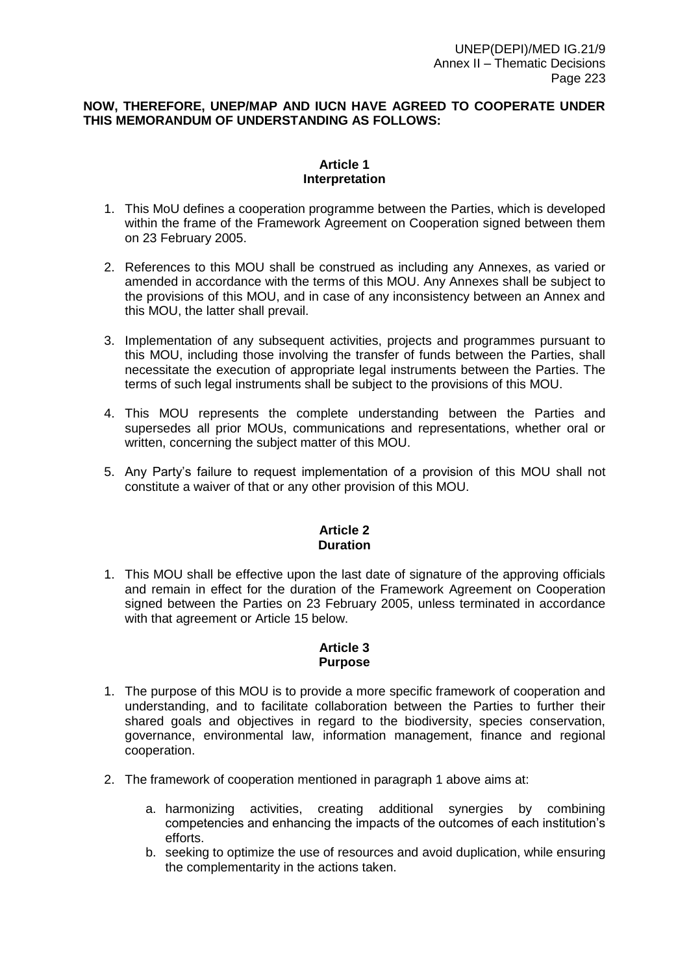### **NOW, THEREFORE, UNEP/MAP AND IUCN HAVE AGREED TO COOPERATE UNDER THIS MEMORANDUM OF UNDERSTANDING AS FOLLOWS:**

#### **Article 1 Interpretation**

- 1. This MoU defines a cooperation programme between the Parties, which is developed within the frame of the Framework Agreement on Cooperation signed between them on 23 February 2005.
- 2. References to this MOU shall be construed as including any Annexes, as varied or amended in accordance with the terms of this MOU. Any Annexes shall be subject to the provisions of this MOU, and in case of any inconsistency between an Annex and this MOU, the latter shall prevail.
- 3. Implementation of any subsequent activities, projects and programmes pursuant to this MOU, including those involving the transfer of funds between the Parties, shall necessitate the execution of appropriate legal instruments between the Parties. The terms of such legal instruments shall be subject to the provisions of this MOU.
- 4. This MOU represents the complete understanding between the Parties and supersedes all prior MOUs, communications and representations, whether oral or written, concerning the subject matter of this MOU.
- 5. Any Party's failure to request implementation of a provision of this MOU shall not constitute a waiver of that or any other provision of this MOU.

### **Article 2 Duration**

1. This MOU shall be effective upon the last date of signature of the approving officials and remain in effect for the duration of the Framework Agreement on Cooperation signed between the Parties on 23 February 2005, unless terminated in accordance with that agreement or Article 15 below.

#### **Article 3 Purpose**

- 1. The purpose of this MOU is to provide a more specific framework of cooperation and understanding, and to facilitate collaboration between the Parties to further their shared goals and objectives in regard to the biodiversity, species conservation, governance, environmental law, information management, finance and regional cooperation.
- 2. The framework of cooperation mentioned in paragraph 1 above aims at:
	- a. harmonizing activities, creating additional synergies by combining competencies and enhancing the impacts of the outcomes of each institution's efforts.
	- b. seeking to optimize the use of resources and avoid duplication, while ensuring the complementarity in the actions taken.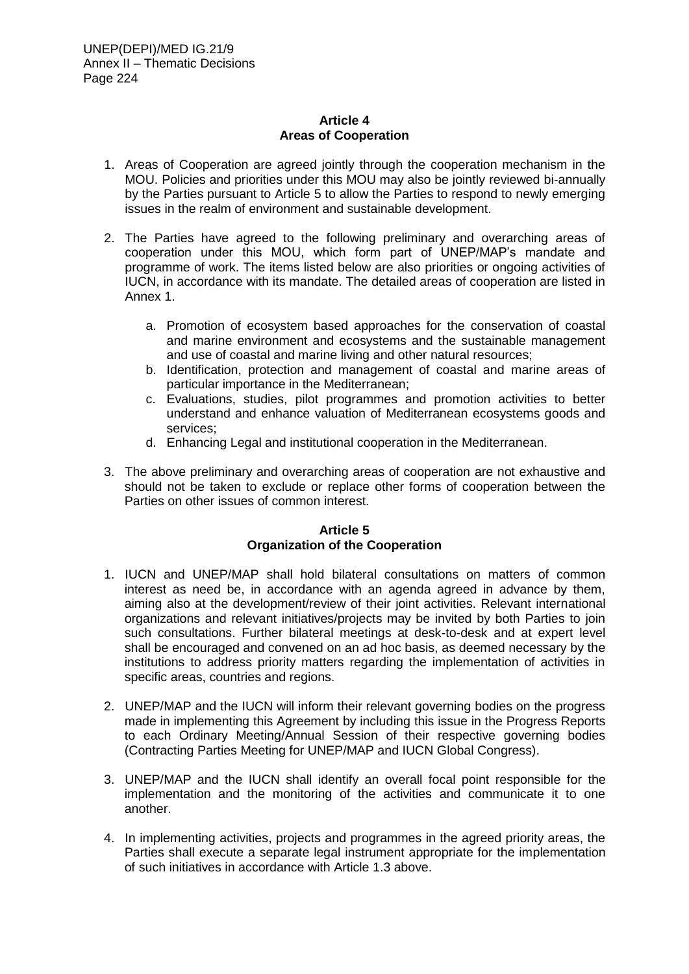### **Article 4 Areas of Cooperation**

- 1. Areas of Cooperation are agreed jointly through the cooperation mechanism in the MOU. Policies and priorities under this MOU may also be jointly reviewed bi-annually by the Parties pursuant to Article 5 to allow the Parties to respond to newly emerging issues in the realm of environment and sustainable development.
- 2. The Parties have agreed to the following preliminary and overarching areas of cooperation under this MOU, which form part of UNEP/MAP's mandate and programme of work. The items listed below are also priorities or ongoing activities of IUCN, in accordance with its mandate. The detailed areas of cooperation are listed in Annex 1.
	- a. Promotion of ecosystem based approaches for the conservation of coastal and marine environment and ecosystems and the sustainable management and use of coastal and marine living and other natural resources;
	- b. Identification, protection and management of coastal and marine areas of particular importance in the Mediterranean;
	- c. Evaluations, studies, pilot programmes and promotion activities to better understand and enhance valuation of Mediterranean ecosystems goods and services;
	- d. Enhancing Legal and institutional cooperation in the Mediterranean.
- 3. The above preliminary and overarching areas of cooperation are not exhaustive and should not be taken to exclude or replace other forms of cooperation between the Parties on other issues of common interest.

### **Article 5 Organization of the Cooperation**

- 1. IUCN and UNEP/MAP shall hold bilateral consultations on matters of common interest as need be, in accordance with an agenda agreed in advance by them, aiming also at the development/review of their joint activities. Relevant international organizations and relevant initiatives/projects may be invited by both Parties to join such consultations. Further bilateral meetings at desk-to-desk and at expert level shall be encouraged and convened on an ad hoc basis, as deemed necessary by the institutions to address priority matters regarding the implementation of activities in specific areas, countries and regions.
- 2. UNEP/MAP and the IUCN will inform their relevant governing bodies on the progress made in implementing this Agreement by including this issue in the Progress Reports to each Ordinary Meeting/Annual Session of their respective governing bodies (Contracting Parties Meeting for UNEP/MAP and IUCN Global Congress).
- 3. UNEP/MAP and the IUCN shall identify an overall focal point responsible for the implementation and the monitoring of the activities and communicate it to one another.
- 4. In implementing activities, projects and programmes in the agreed priority areas, the Parties shall execute a separate legal instrument appropriate for the implementation of such initiatives in accordance with Article 1.3 above.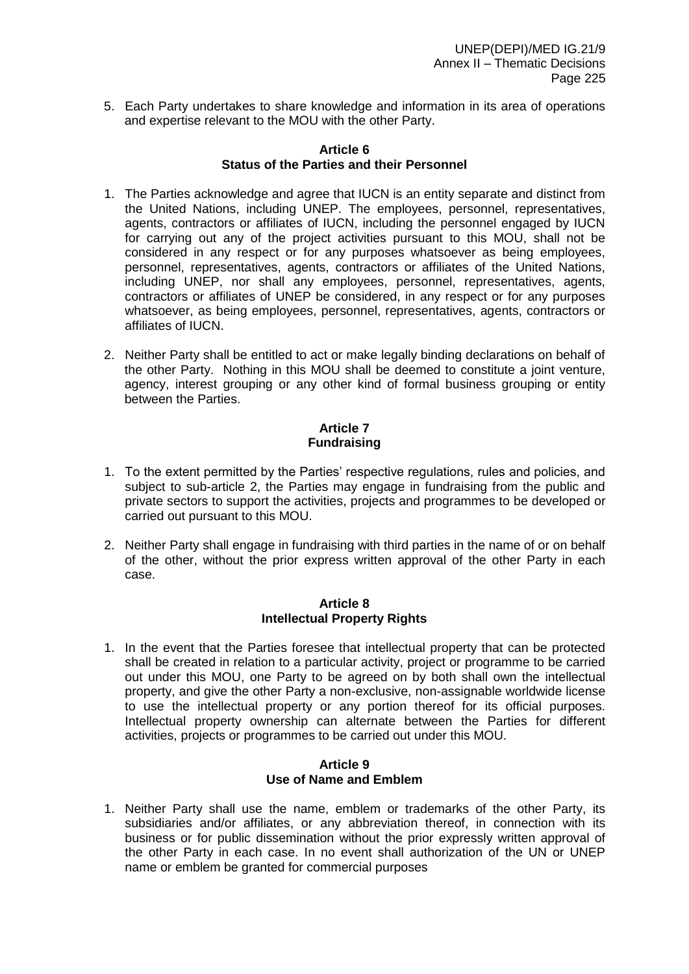5. Each Party undertakes to share knowledge and information in its area of operations and expertise relevant to the MOU with the other Party.

### **Article 6 Status of the Parties and their Personnel**

- 1. The Parties acknowledge and agree that IUCN is an entity separate and distinct from the United Nations, including UNEP. The employees, personnel, representatives, agents, contractors or affiliates of IUCN, including the personnel engaged by IUCN for carrying out any of the project activities pursuant to this MOU, shall not be considered in any respect or for any purposes whatsoever as being employees, personnel, representatives, agents, contractors or affiliates of the United Nations, including UNEP, nor shall any employees, personnel, representatives, agents, contractors or affiliates of UNEP be considered, in any respect or for any purposes whatsoever, as being employees, personnel, representatives, agents, contractors or affiliates of IUCN.
- 2. Neither Party shall be entitled to act or make legally binding declarations on behalf of the other Party. Nothing in this MOU shall be deemed to constitute a joint venture, agency, interest grouping or any other kind of formal business grouping or entity between the Parties.

### **Article 7 Fundraising**

- 1. To the extent permitted by the Parties' respective regulations, rules and policies, and subject to sub-article 2, the Parties may engage in fundraising from the public and private sectors to support the activities, projects and programmes to be developed or carried out pursuant to this MOU.
- 2. Neither Party shall engage in fundraising with third parties in the name of or on behalf of the other, without the prior express written approval of the other Party in each case.

#### **Article 8 Intellectual Property Rights**

1. In the event that the Parties foresee that intellectual property that can be protected shall be created in relation to a particular activity, project or programme to be carried out under this MOU, one Party to be agreed on by both shall own the intellectual property, and give the other Party a non-exclusive, non-assignable worldwide license to use the intellectual property or any portion thereof for its official purposes. Intellectual property ownership can alternate between the Parties for different activities, projects or programmes to be carried out under this MOU.

### **Article 9 Use of Name and Emblem**

1. Neither Party shall use the name, emblem or trademarks of the other Party, its subsidiaries and/or affiliates, or any abbreviation thereof, in connection with its business or for public dissemination without the prior expressly written approval of the other Party in each case. In no event shall authorization of the UN or UNEP name or emblem be granted for commercial purposes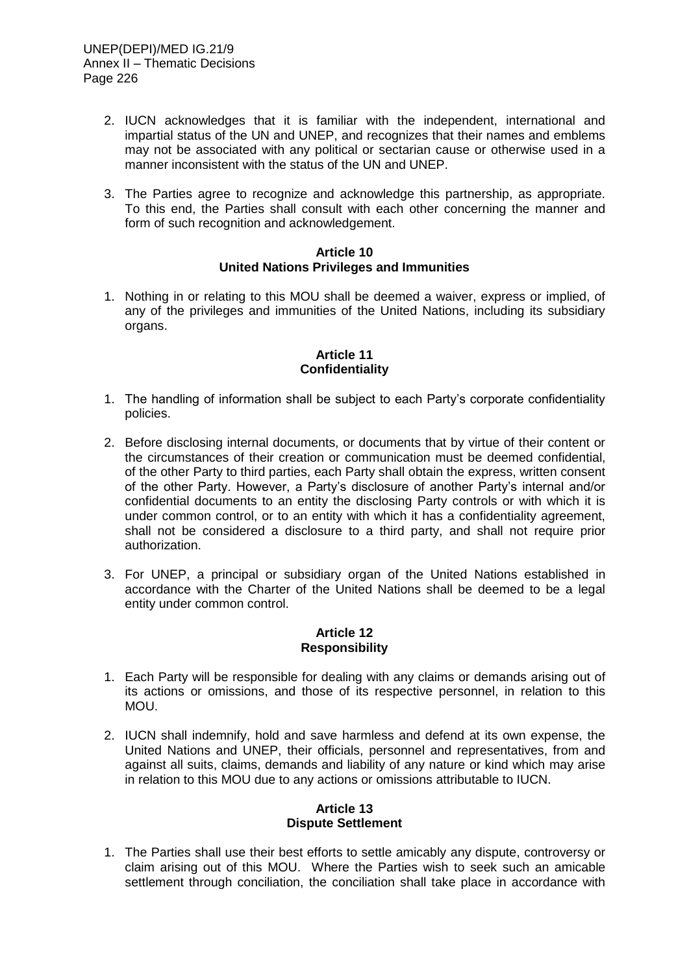- 2. IUCN acknowledges that it is familiar with the independent, international and impartial status of the UN and UNEP, and recognizes that their names and emblems may not be associated with any political or sectarian cause or otherwise used in a manner inconsistent with the status of the UN and UNEP.
- 3. The Parties agree to recognize and acknowledge this partnership, as appropriate. To this end, the Parties shall consult with each other concerning the manner and form of such recognition and acknowledgement.

#### **Article 10 United Nations Privileges and Immunities**

1. Nothing in or relating to this MOU shall be deemed a waiver, express or implied, of any of the privileges and immunities of the United Nations, including its subsidiary organs.

### **Article 11 Confidentiality**

- 1. The handling of information shall be subject to each Party's corporate confidentiality policies.
- 2. Before disclosing internal documents, or documents that by virtue of their content or the circumstances of their creation or communication must be deemed confidential, of the other Party to third parties, each Party shall obtain the express, written consent of the other Party. However, a Party's disclosure of another Party's internal and/or confidential documents to an entity the disclosing Party controls or with which it is under common control, or to an entity with which it has a confidentiality agreement, shall not be considered a disclosure to a third party, and shall not require prior authorization.
- 3. For UNEP, a principal or subsidiary organ of the United Nations established in accordance with the Charter of the United Nations shall be deemed to be a legal entity under common control.

### **Article 12 Responsibility**

- 1. Each Party will be responsible for dealing with any claims or demands arising out of its actions or omissions, and those of its respective personnel, in relation to this MOU.
- 2. IUCN shall indemnify, hold and save harmless and defend at its own expense, the United Nations and UNEP, their officials, personnel and representatives, from and against all suits, claims, demands and liability of any nature or kind which may arise in relation to this MOU due to any actions or omissions attributable to IUCN.

### **Article 13 Dispute Settlement**

1. The Parties shall use their best efforts to settle amicably any dispute, controversy or claim arising out of this MOU. Where the Parties wish to seek such an amicable settlement through conciliation, the conciliation shall take place in accordance with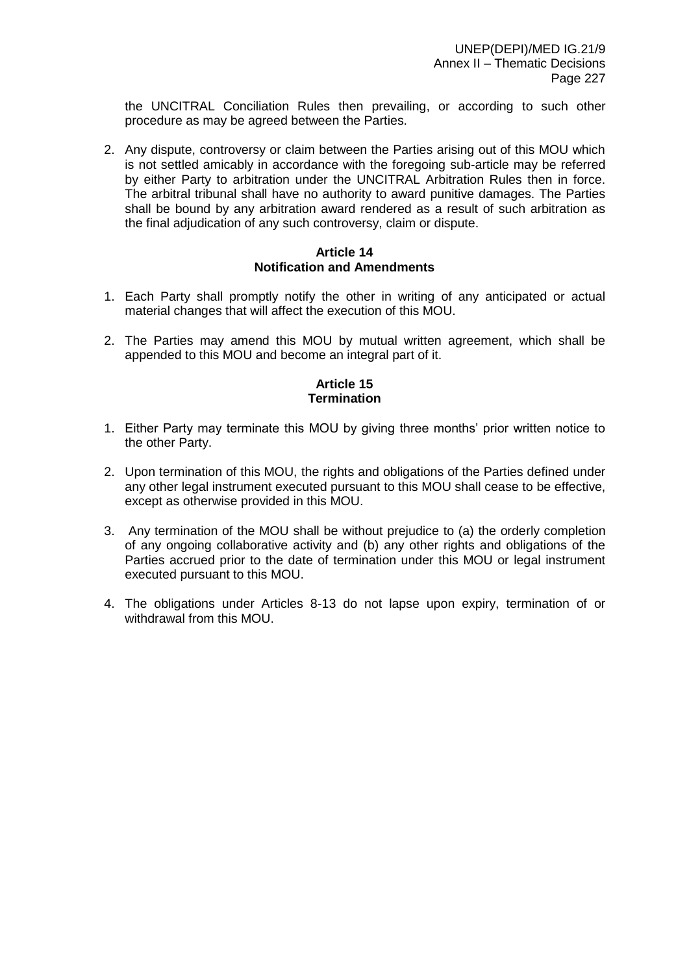the UNCITRAL Conciliation Rules then prevailing, or according to such other procedure as may be agreed between the Parties.

2. Any dispute, controversy or claim between the Parties arising out of this MOU which is not settled amicably in accordance with the foregoing sub-article may be referred by either Party to arbitration under the UNCITRAL Arbitration Rules then in force. The arbitral tribunal shall have no authority to award punitive damages. The Parties shall be bound by any arbitration award rendered as a result of such arbitration as the final adjudication of any such controversy, claim or dispute.

### **Article 14 Notification and Amendments**

- 1. Each Party shall promptly notify the other in writing of any anticipated or actual material changes that will affect the execution of this MOU.
- 2. The Parties may amend this MOU by mutual written agreement, which shall be appended to this MOU and become an integral part of it.

### **Article 15 Termination**

- 1. Either Party may terminate this MOU by giving three months' prior written notice to the other Party.
- 2. Upon termination of this MOU, the rights and obligations of the Parties defined under any other legal instrument executed pursuant to this MOU shall cease to be effective, except as otherwise provided in this MOU.
- 3. Any termination of the MOU shall be without prejudice to (a) the orderly completion of any ongoing collaborative activity and (b) any other rights and obligations of the Parties accrued prior to the date of termination under this MOU or legal instrument executed pursuant to this MOU.
- 4. The obligations under Articles 8-13 do not lapse upon expiry, termination of or withdrawal from this MOU.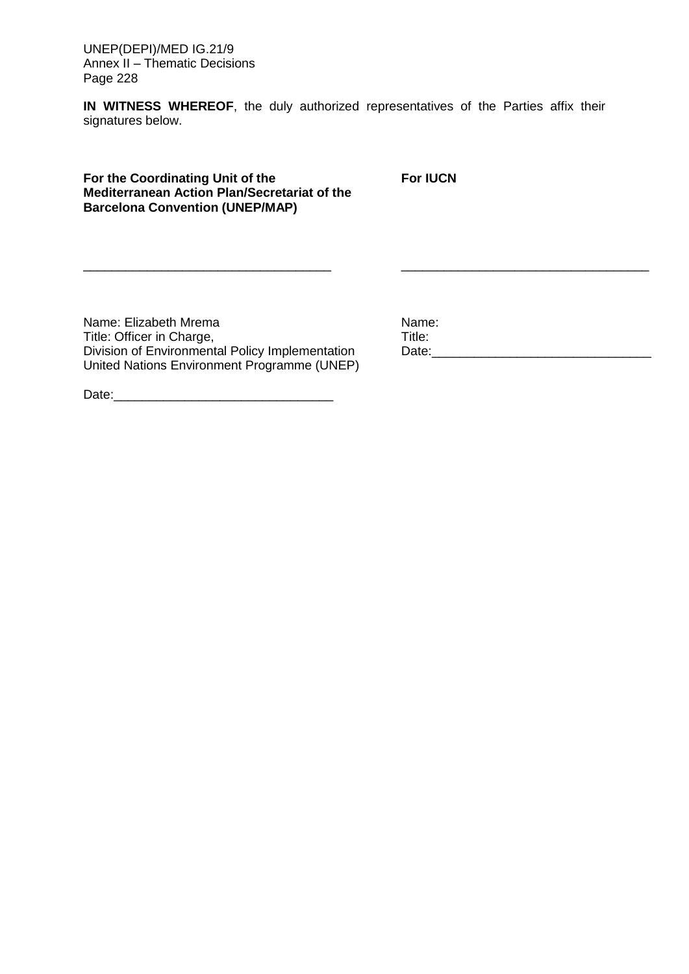UNEP(DEPI)/MED IG.21/9 Annex II – Thematic Decisions Page 228

**IN WITNESS WHEREOF**, the duly authorized representatives of the Parties affix their signatures below.

\_\_\_\_\_\_\_\_\_\_\_\_\_\_\_\_\_\_\_\_\_\_\_\_\_\_\_\_\_\_\_\_\_\_\_ \_\_\_\_\_\_\_\_\_\_\_\_\_\_\_\_\_\_\_\_\_\_\_\_\_\_\_\_\_\_\_\_\_\_\_

**For the Coordinating Unit of the Mediterranean Action Plan/Secretariat of the Barcelona Convention (UNEP/MAP)**

**For IUCN**

Name: Elizabeth Mrema Title: Officer in Charge, Division of Environmental Policy Implementation United Nations Environment Programme (UNEP) Name: Title: Date:\_\_\_\_\_\_\_\_\_\_\_\_\_\_\_\_\_\_\_\_\_\_\_\_\_\_\_\_\_\_\_

Date:\_\_\_\_\_\_\_\_\_\_\_\_\_\_\_\_\_\_\_\_\_\_\_\_\_\_\_\_\_\_\_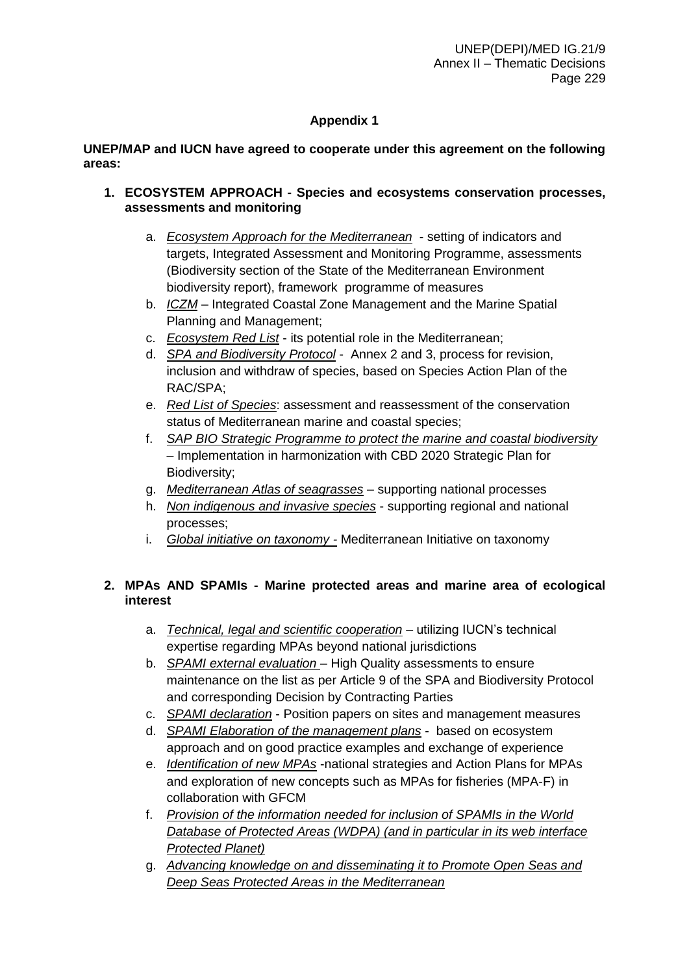# **Appendix 1**

### **UNEP/MAP and IUCN have agreed to cooperate under this agreement on the following areas:**

- **1. ECOSYSTEM APPROACH - Species and ecosystems conservation processes, assessments and monitoring**
	- a. *Ecosystem Approach for the Mediterranean* setting of indicators and targets, Integrated Assessment and Monitoring Programme, assessments (Biodiversity section of the State of the Mediterranean Environment biodiversity report), framework programme of measures
	- b. *ICZM* Integrated Coastal Zone Management and the Marine Spatial Planning and Management;
	- c. *Ecosystem Red List* its potential role in the Mediterranean;
	- d. *SPA and Biodiversity Protocol* Annex 2 and 3, process for revision, inclusion and withdraw of species, based on Species Action Plan of the RAC/SPA;
	- e. *Red List of Species*: assessment and reassessment of the conservation status of Mediterranean marine and coastal species;
	- f. *SAP BIO Strategic Programme to protect the marine and coastal biodiversity*  – Implementation in harmonization with CBD 2020 Strategic Plan for Biodiversity;
	- g. *Mediterranean Atlas of seagrasses* supporting national processes
	- h. *Non indigenous and invasive species* supporting regional and national processes;
	- i. *Global initiative on taxonomy -* Mediterranean Initiative on taxonomy

## **2. MPAs AND SPAMIs - Marine protected areas and marine area of ecological interest**

- a. *Technical, legal and scientific cooperation* utilizing IUCN's technical expertise regarding MPAs beyond national jurisdictions
- b. *SPAMI external evaluation*  High Quality assessments to ensure maintenance on the list as per Article 9 of the SPA and Biodiversity Protocol and corresponding Decision by Contracting Parties
- c. *SPAMI declaration* Position papers on sites and management measures
- d. *SPAMI Elaboration of the management plans* based on ecosystem approach and on good practice examples and exchange of experience
- e. *Identification of new MPAs* -national strategies and Action Plans for MPAs and exploration of new concepts such as MPAs for fisheries (MPA-F) in collaboration with GFCM
- f. *Provision of the information needed for inclusion of SPAMIs in the World Database of Protected Areas (WDPA) (and in particular in its web interface Protected Planet)*
- g. *Advancing knowledge on and disseminating it to Promote Open Seas and Deep Seas Protected Areas in the Mediterranean*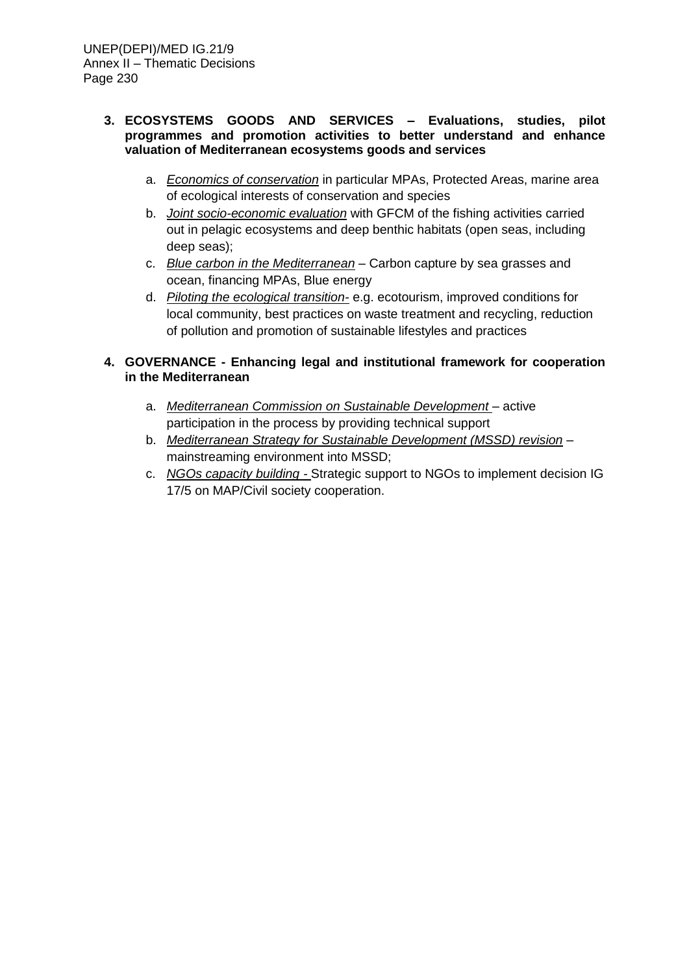### **3. ECOSYSTEMS GOODS AND SERVICES – Evaluations, studies, pilot programmes and promotion activities to better understand and enhance valuation of Mediterranean ecosystems goods and services**

- a. *Economics of conservation* in particular MPAs, Protected Areas, marine area of ecological interests of conservation and species
- b. *Joint socio-economic evaluation* with GFCM of the fishing activities carried out in pelagic ecosystems and deep benthic habitats (open seas, including deep seas);
- c. *Blue carbon in the Mediterranean* Carbon capture by sea grasses and ocean, financing MPAs, Blue energy
- d. *Piloting the ecological transition-* e.g. ecotourism, improved conditions for local community, best practices on waste treatment and recycling, reduction of pollution and promotion of sustainable lifestyles and practices

## **4. GOVERNANCE - Enhancing legal and institutional framework for cooperation in the Mediterranean**

- a. *Mediterranean Commission on Sustainable Development* active participation in the process by providing technical support
- b. *Mediterranean Strategy for Sustainable Development (MSSD) revision* mainstreaming environment into MSSD;
- c. *NGOs capacity building -* Strategic support to NGOs to implement decision IG 17/5 on MAP/Civil society cooperation.